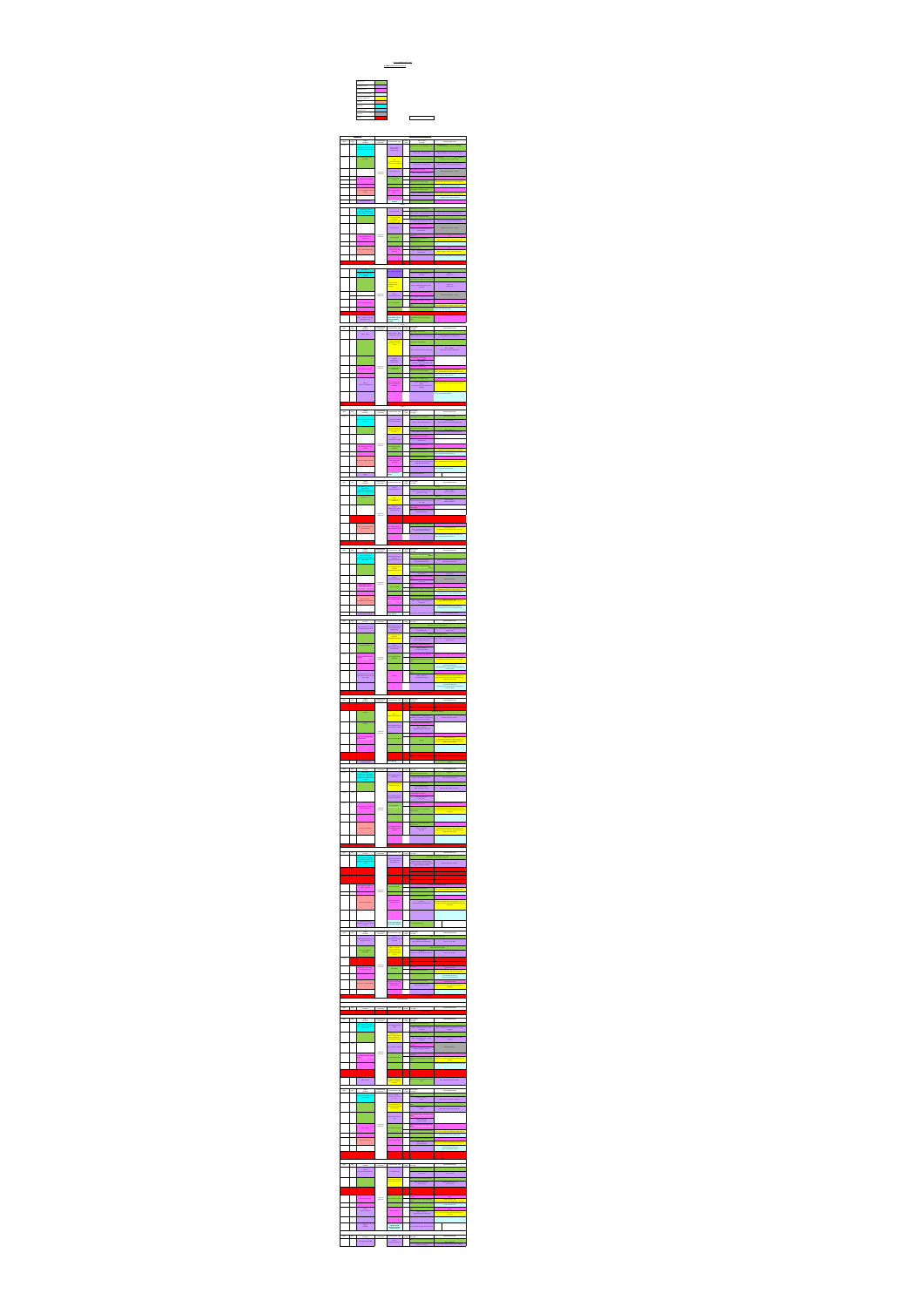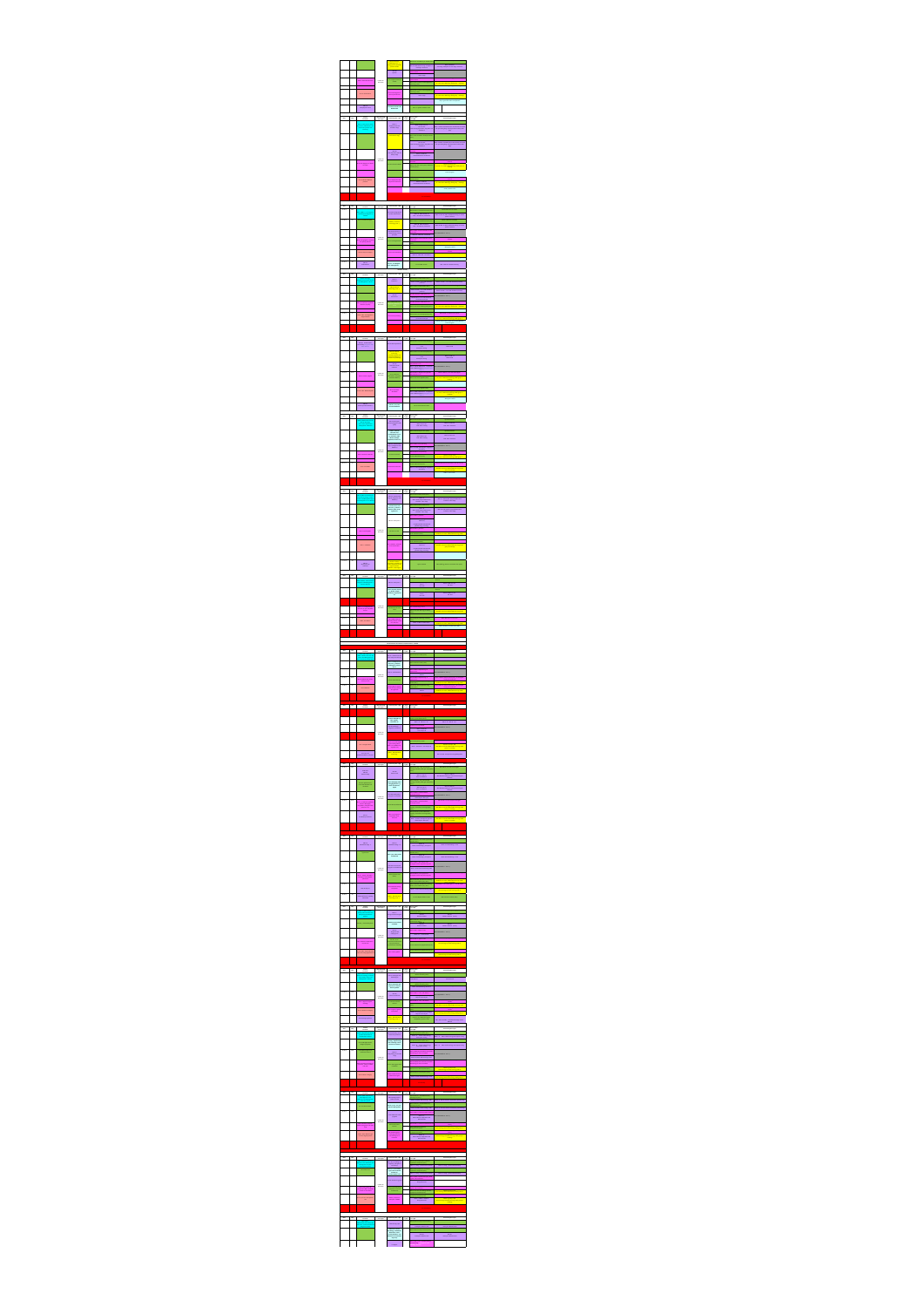